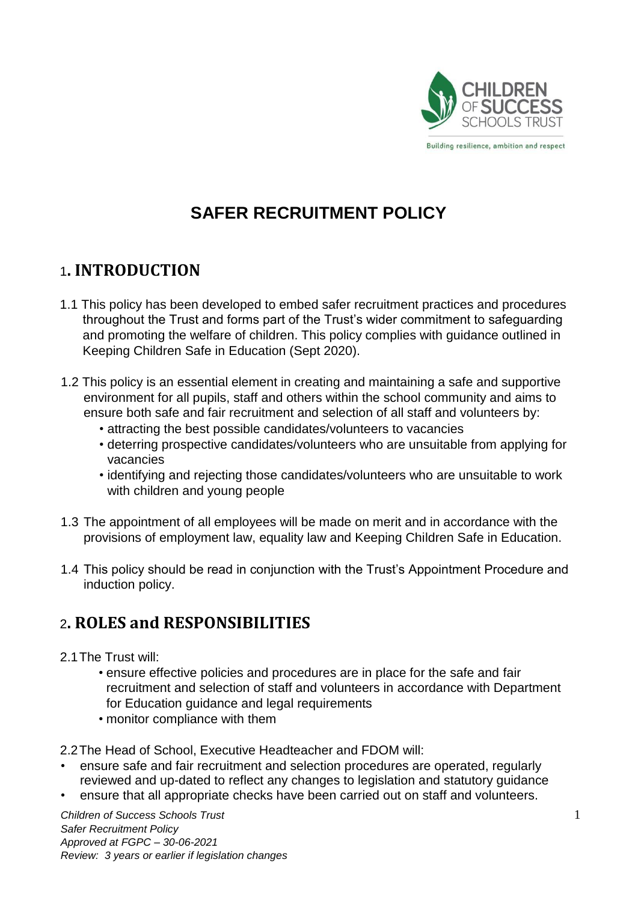

Building resilience, ambition and respect

# **SAFER RECRUITMENT POLICY**

#### 1**. INTRODUCTION**

- 1.1 This policy has been developed to embed safer recruitment practices and procedures throughout the Trust and forms part of the Trust's wider commitment to safeguarding and promoting the welfare of children. This policy complies with guidance outlined in Keeping Children Safe in Education (Sept 2020).
- 1.2 This policy is an essential element in creating and maintaining a safe and supportive environment for all pupils, staff and others within the school community and aims to ensure both safe and fair recruitment and selection of all staff and volunteers by:
	- attracting the best possible candidates/volunteers to vacancies
	- deterring prospective candidates/volunteers who are unsuitable from applying for vacancies
	- identifying and rejecting those candidates/volunteers who are unsuitable to work with children and young people
- 1.3 The appointment of all employees will be made on merit and in accordance with the provisions of employment law, equality law and Keeping Children Safe in Education.
- 1.4 This policy should be read in conjunction with the Trust's Appointment Procedure and induction policy.

# 2**. ROLES and RESPONSIBILITIES**

- 2.1The Trust will:
	- ensure effective policies and procedures are in place for the safe and fair recruitment and selection of staff and volunteers in accordance with Department for Education guidance and legal requirements
	- monitor compliance with them

2.2The Head of School, Executive Headteacher and FDOM will:

- ensure safe and fair recruitment and selection procedures are operated, regularly reviewed and up-dated to reflect any changes to legislation and statutory guidance
- ensure that all appropriate checks have been carried out on staff and volunteers.

*Children of Success Schools Trust* 1 *Safer Recruitment Policy Approved at FGPC – 30-06-2021 Review: 3 years or earlier if legislation changes*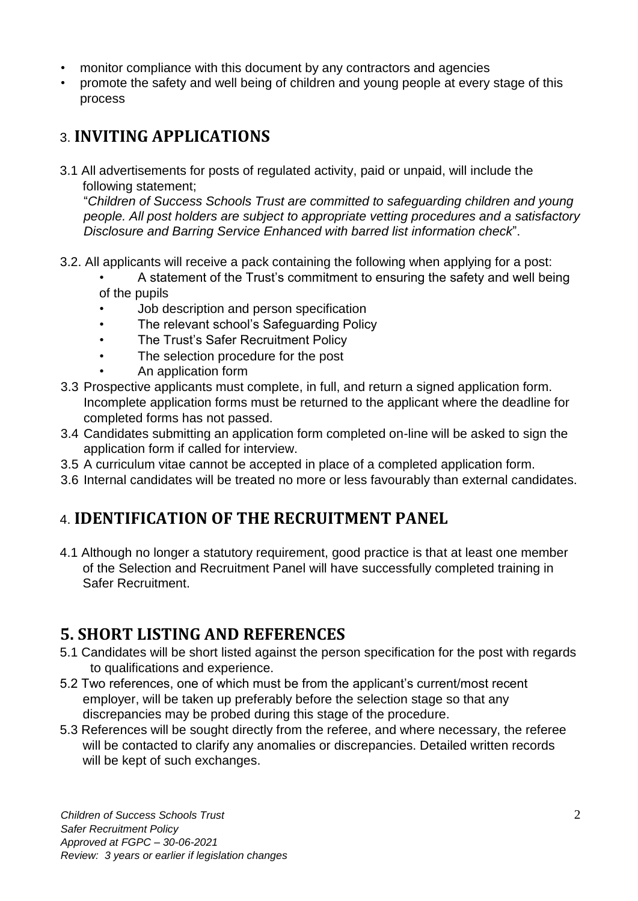- monitor compliance with this document by any contractors and agencies
- promote the safety and well being of children and young people at every stage of this process

# 3. **INVITING APPLICATIONS**

3.1 All advertisements for posts of regulated activity, paid or unpaid, will include the following statement;

"*Children of Success Schools Trust are committed to safeguarding children and young people. All post holders are subject to appropriate vetting procedures and a satisfactory Disclosure and Barring Service Enhanced with barred list information check*".

- 3.2. All applicants will receive a pack containing the following when applying for a post:
	- A statement of the Trust's commitment to ensuring the safety and well being of the pupils
	- Job description and person specification
	- The relevant school's Safeguarding Policy
	- The Trust's Safer Recruitment Policy
	- The selection procedure for the post
		- An application form
- 3.3 Prospective applicants must complete, in full, and return a signed application form. Incomplete application forms must be returned to the applicant where the deadline for completed forms has not passed.
- 3.4 Candidates submitting an application form completed on-line will be asked to sign the application form if called for interview.
- 3.5 A curriculum vitae cannot be accepted in place of a completed application form.
- 3.6 Internal candidates will be treated no more or less favourably than external candidates.

### 4. **IDENTIFICATION OF THE RECRUITMENT PANEL**

4.1 Although no longer a statutory requirement, good practice is that at least one member of the Selection and Recruitment Panel will have successfully completed training in Safer Recruitment.

### **5. SHORT LISTING AND REFERENCES**

- 5.1 Candidates will be short listed against the person specification for the post with regards to qualifications and experience.
- 5.2 Two references, one of which must be from the applicant's current/most recent employer, will be taken up preferably before the selection stage so that any discrepancies may be probed during this stage of the procedure.
- 5.3 References will be sought directly from the referee, and where necessary, the referee will be contacted to clarify any anomalies or discrepancies. Detailed written records will be kept of such exchanges.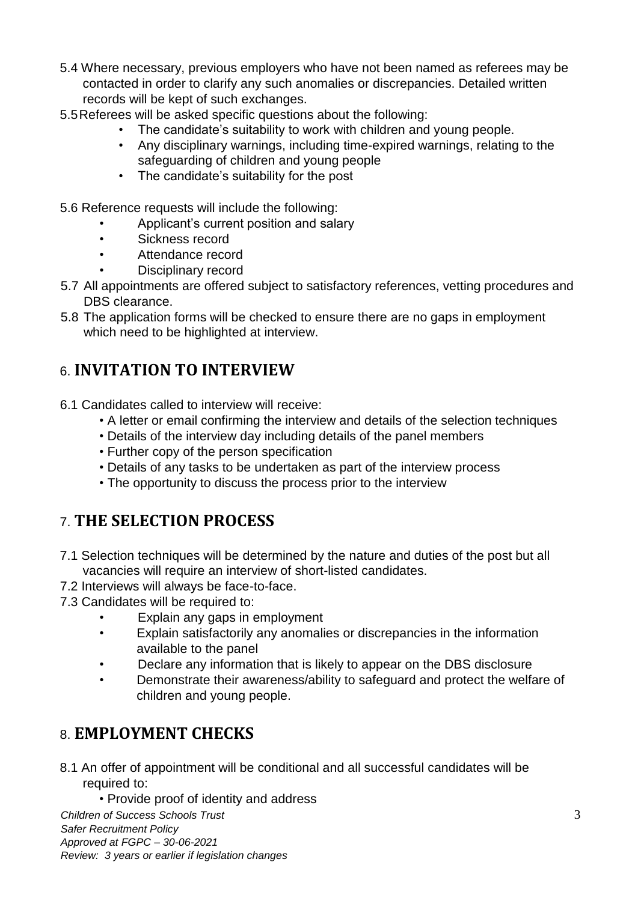- 5.4 Where necessary, previous employers who have not been named as referees may be contacted in order to clarify any such anomalies or discrepancies. Detailed written records will be kept of such exchanges.
- 5.5Referees will be asked specific questions about the following:
	- The candidate's suitability to work with children and young people.
	- Any disciplinary warnings, including time-expired warnings, relating to the safeguarding of children and young people
	- The candidate's suitability for the post
- 5.6 Reference requests will include the following:
	- Applicant's current position and salary
	- Sickness record
	- Attendance record
	- Disciplinary record
- 5.7 All appointments are offered subject to satisfactory references, vetting procedures and DBS clearance.
- 5.8 The application forms will be checked to ensure there are no gaps in employment which need to be highlighted at interview.

# 6. **INVITATION TO INTERVIEW**

- 6.1 Candidates called to interview will receive:
	- A letter or email confirming the interview and details of the selection techniques
	- Details of the interview day including details of the panel members
	- Further copy of the person specification
	- Details of any tasks to be undertaken as part of the interview process
	- The opportunity to discuss the process prior to the interview

# 7. **THE SELECTION PROCESS**

- 7.1 Selection techniques will be determined by the nature and duties of the post but all vacancies will require an interview of short-listed candidates.
- 7.2 Interviews will always be face-to-face.
- 7.3 Candidates will be required to:
	- Explain any gaps in employment
	- Explain satisfactorily any anomalies or discrepancies in the information available to the panel
	- Declare any information that is likely to appear on the DBS disclosure
	- Demonstrate their awareness/ability to safeguard and protect the welfare of children and young people.

### 8. **EMPLOYMENT CHECKS**

- 8.1 An offer of appointment will be conditional and all successful candidates will be required to:
	- Provide proof of identity and address

*Children of Success Schools Trust* 3 *Safer Recruitment Policy Approved at FGPC – 30-06-2021 Review: 3 years or earlier if legislation changes*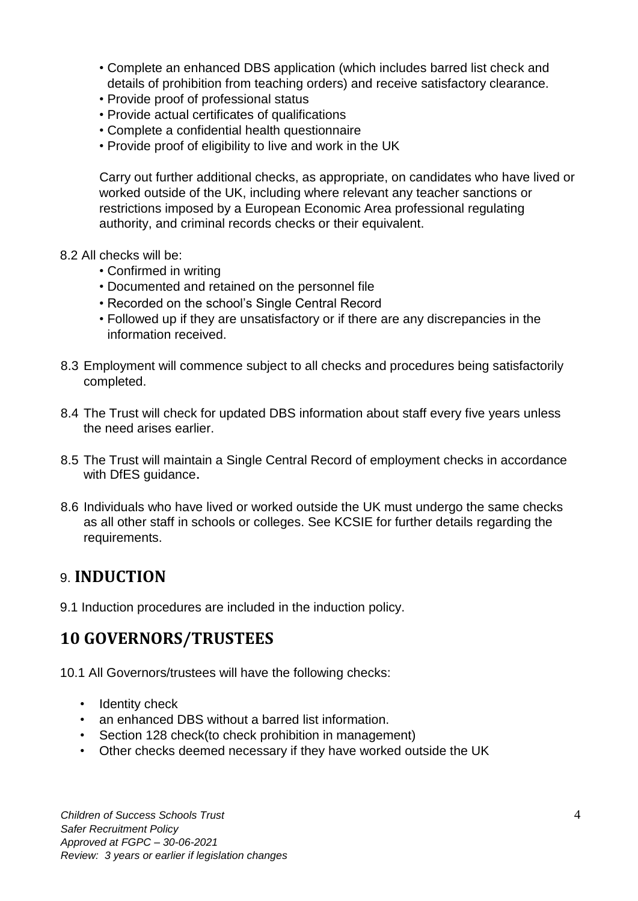- Complete an enhanced DBS application (which includes barred list check and details of prohibition from teaching orders) and receive satisfactory clearance.
- Provide proof of professional status
- Provide actual certificates of qualifications
- Complete a confidential health questionnaire
- Provide proof of eligibility to live and work in the UK

Carry out further additional checks, as appropriate, on candidates who have lived or worked outside of the UK, including where relevant any teacher sanctions or restrictions imposed by a European Economic Area professional regulating authority, and criminal records checks or their equivalent.

- 8.2 All checks will be:
	- Confirmed in writing
	- Documented and retained on the personnel file
	- Recorded on the school's Single Central Record
	- Followed up if they are unsatisfactory or if there are any discrepancies in the information received.
- 8.3 Employment will commence subject to all checks and procedures being satisfactorily completed.
- 8.4 The Trust will check for updated DBS information about staff every five years unless the need arises earlier.
- 8.5 The Trust will maintain a Single Central Record of employment checks in accordance with DfES guidance.
- 8.6 Individuals who have lived or worked outside the UK must undergo the same checks as all other staff in schools or colleges. See KCSIE for further details regarding the requirements.

#### 9. **INDUCTION**

9.1 Induction procedures are included in the induction policy.

### **10 GOVERNORS/TRUSTEES**

10.1 All Governors/trustees will have the following checks:

- Identity check
- an enhanced DBS without a barred list information.
- Section 128 check(to check prohibition in management)
- Other checks deemed necessary if they have worked outside the UK